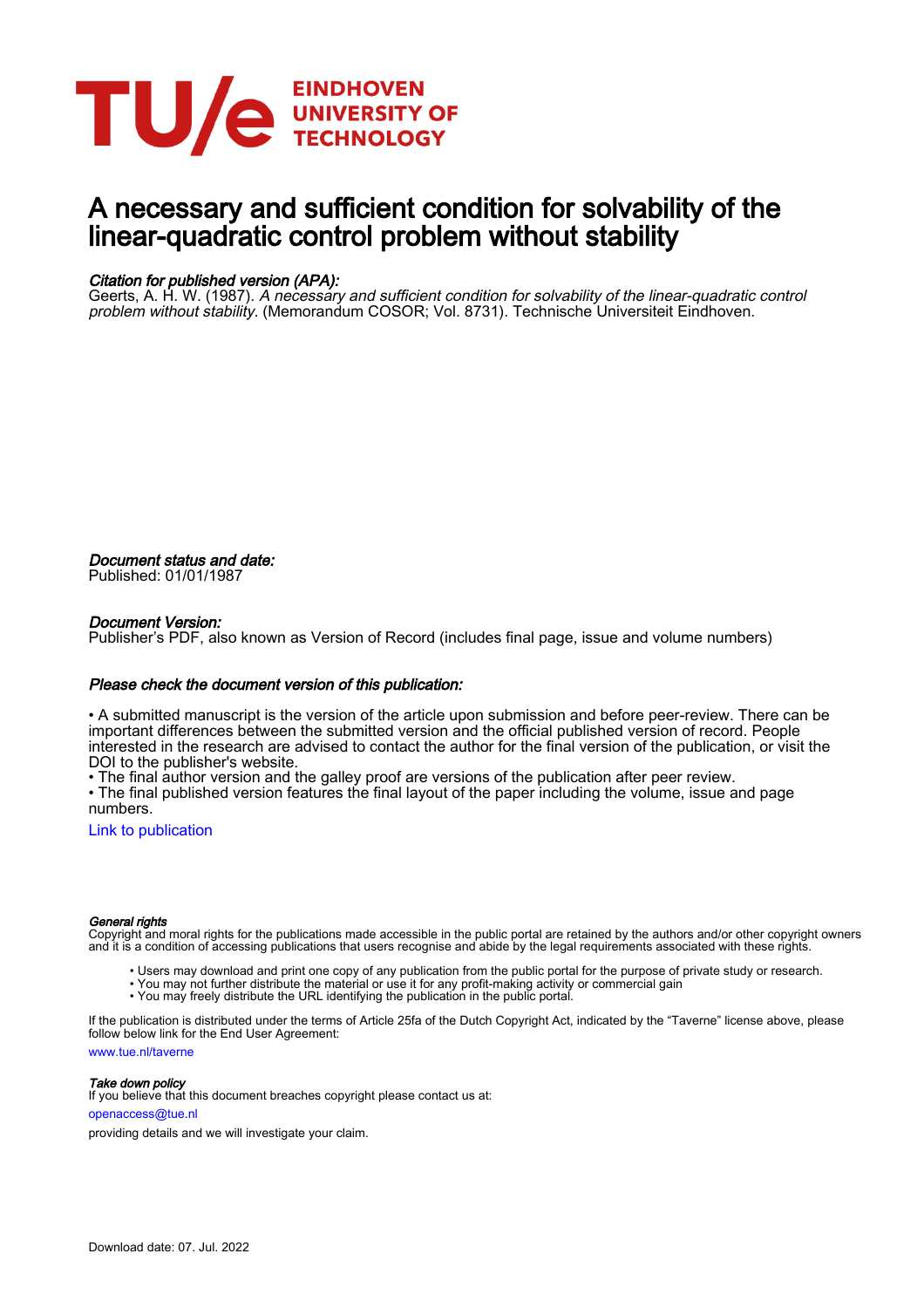

# A necessary and sufficient condition for solvability of the linear-quadratic control problem without stability

#### Citation for published version (APA):

Geerts, A. H. W. (1987). A necessary and sufficient condition for solvability of the linear-quadratic control problem without stability. (Memorandum COSOR; Vol. 8731). Technische Universiteit Eindhoven.

Document status and date: Published: 01/01/1987

#### Document Version:

Publisher's PDF, also known as Version of Record (includes final page, issue and volume numbers)

#### Please check the document version of this publication:

• A submitted manuscript is the version of the article upon submission and before peer-review. There can be important differences between the submitted version and the official published version of record. People interested in the research are advised to contact the author for the final version of the publication, or visit the DOI to the publisher's website.

• The final author version and the galley proof are versions of the publication after peer review.

• The final published version features the final layout of the paper including the volume, issue and page numbers.

[Link to publication](https://research.tue.nl/en/publications/083622ab-509d-4ba9-9d3f-24a738ca4d3f)

#### General rights

Copyright and moral rights for the publications made accessible in the public portal are retained by the authors and/or other copyright owners and it is a condition of accessing publications that users recognise and abide by the legal requirements associated with these rights.

- Users may download and print one copy of any publication from the public portal for the purpose of private study or research.
- You may not further distribute the material or use it for any profit-making activity or commercial gain
- You may freely distribute the URL identifying the publication in the public portal.

If the publication is distributed under the terms of Article 25fa of the Dutch Copyright Act, indicated by the "Taverne" license above, please follow below link for the End User Agreement:

www.tue.nl/taverne

**Take down policy**<br>If you believe that this document breaches copyright please contact us at:

openaccess@tue.nl

providing details and we will investigate your claim.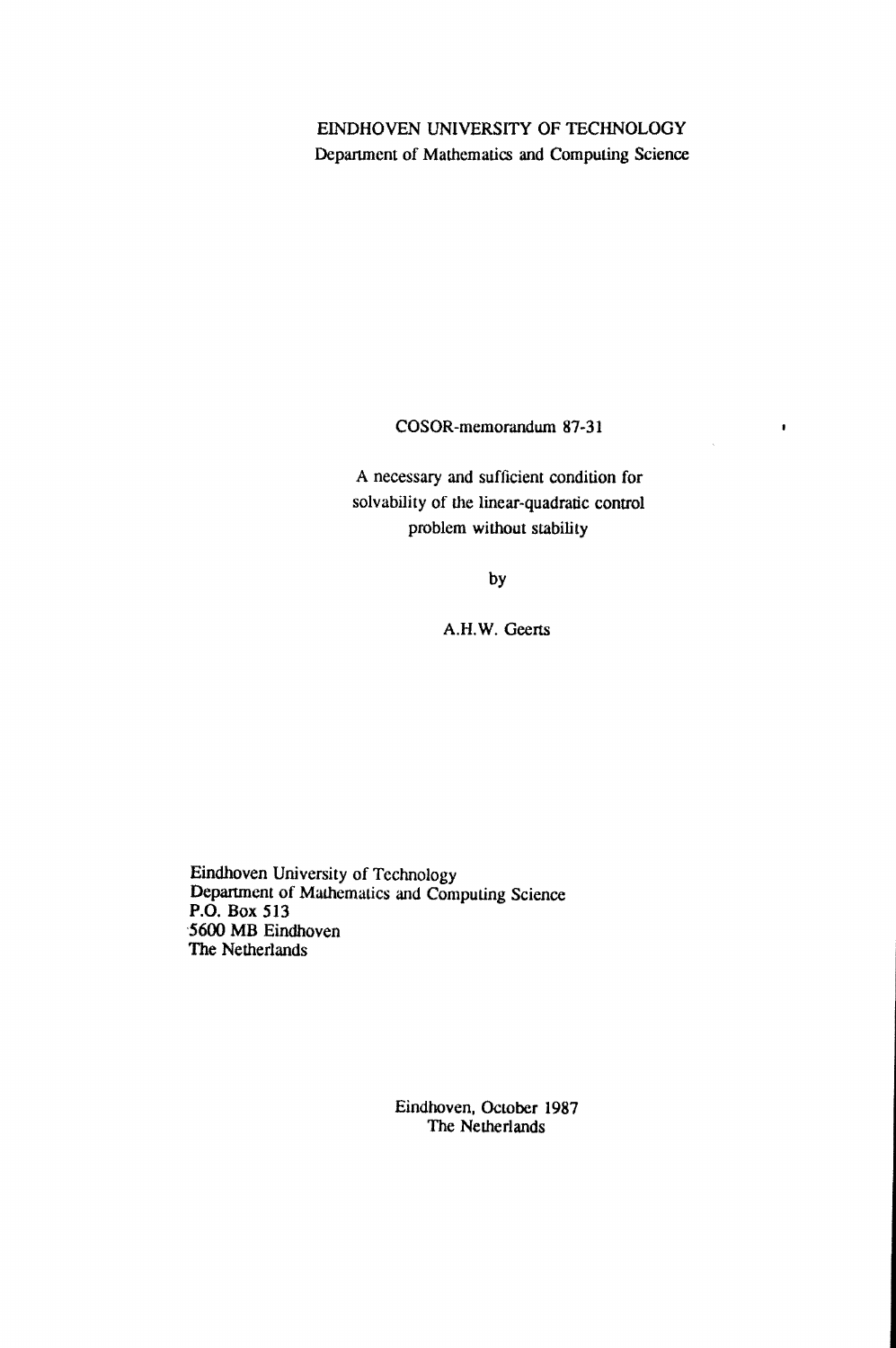## EINDHOVEN UNIVERSITY OF TECHNOLOGY Department of Mathematics and Computing Science

COSOR-memorandum 87-31

 $\pmb{\ast}$ 

A necessary and sufficient condition for solvability of the linear-quadratic control problem without stability

by

A.H.W. Geerts

Eindhoven University of Technology Department of Mathematics and Computing Science P.O. Box 513 '5600 MB Eindhoven The Netherlands

> Eindhoven, October 1987 The Netherlands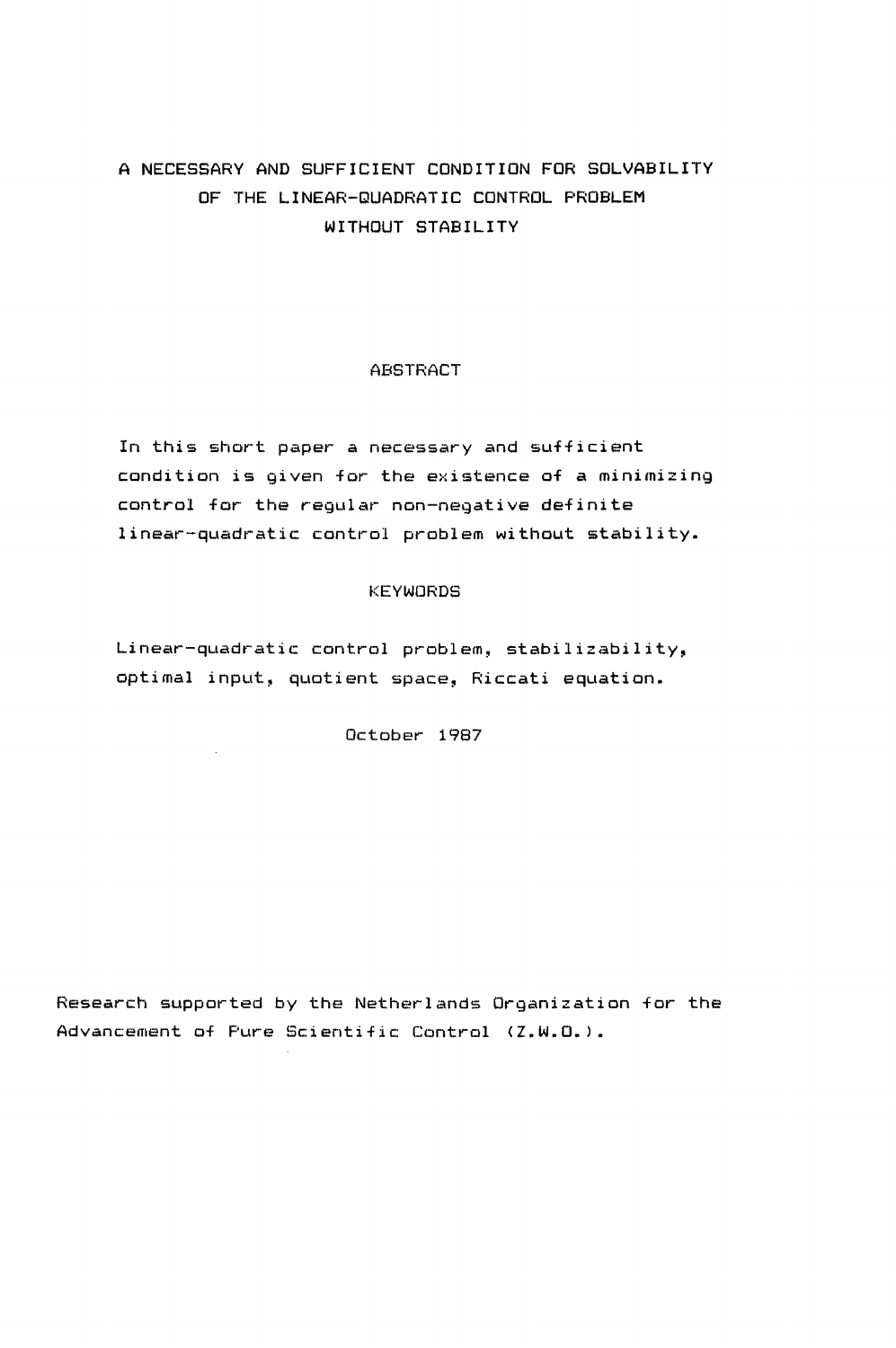# A NECESSARY AND SUFFICIENT CONDITION FOR SOLVABILITY OF THE LINEAR-QUADRATIC CONTROL PROBLEM WITHOUT STABILITY

### **ABSTRACT**

In this short paper a necessary and sufficient condition is given for the existence of a minimizing control for the regular non-negative definite linear-quadratic control problem without stability.

#### KEYWORDS

Linear-quadratic control problem, stabilizability, optimal input, quotient space, Riccati equation.

October 1987

 $\mathcal{L}_{\rm{max}}$ 

Research supported by the Netherlands Organization for the Advancement of Pure Scientific Control (Z.W.O.).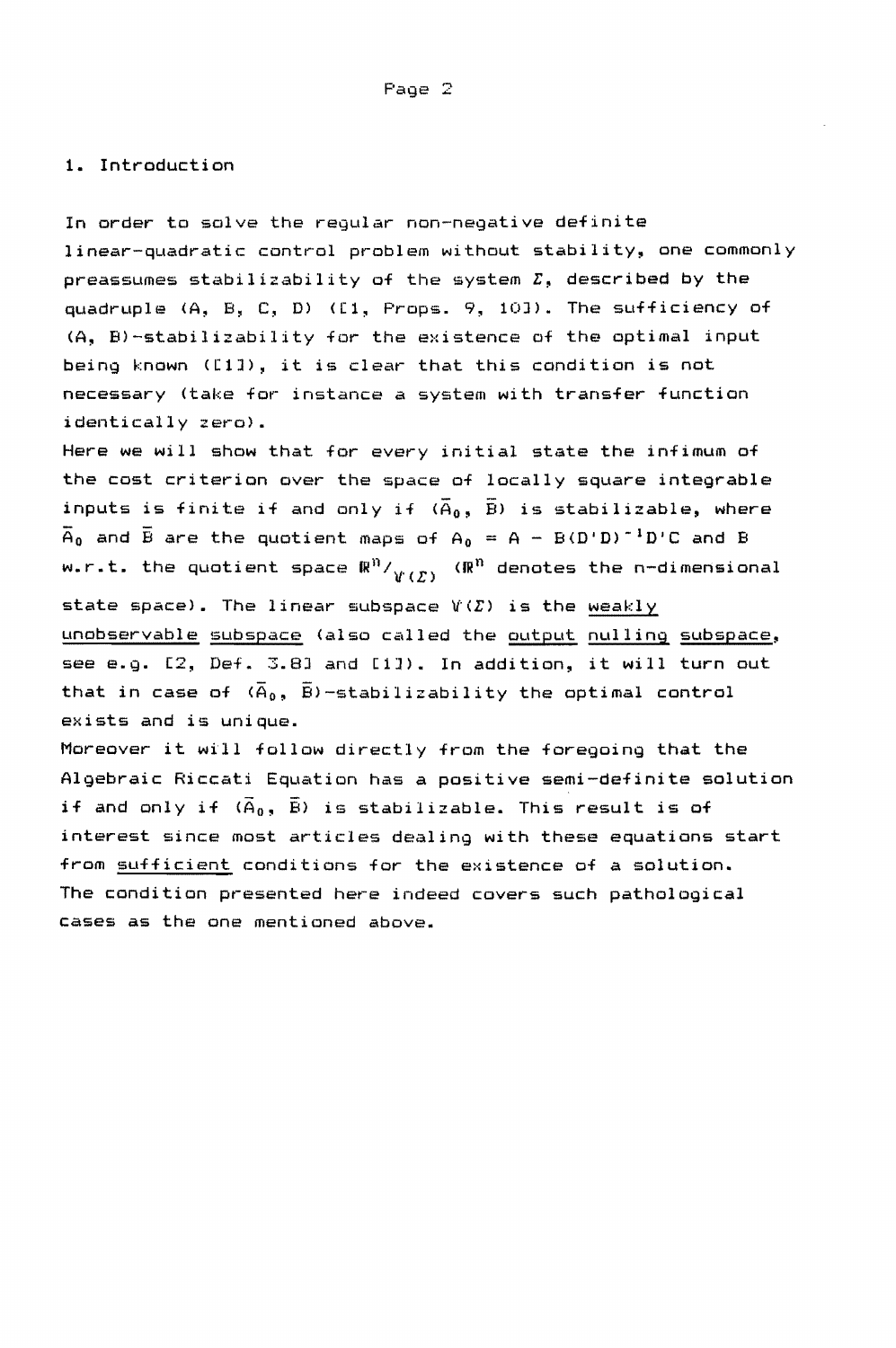#### **1.** Introduction

In order to solve the regular non-negative definite linear-quadratic control problem without stability, one commonly preassumes stabilizability of the system  $\Sigma$ , described by the quadruple CA, B, C, D) ([1, Props. 9, 10J). The sufficiency of (A, B)-stabilizability for the existence of the optimal input being known ([lJ), it is clear that this condition is not necessary (take for instance a system with transfer function identically zero).

Here we will show that for every initial state the infimum of the cost criterion over the space of locally square integrable inputs is finite if and only if  $(\overline{A}_0, \overline{B})$  is stabilizable, where  $\overline{A}_0$  and  $\overline{B}$  are the quotient maps of  $A_0 = A - B(D^*D)^{-1}D^*C$  and  $B$ w.r.t. the quotient space  $\mathbb{R}^n / \mathcal{V}(\mathcal{L})$  ( $\mathbb{R}^n$  denotes the n-dimensional state space). The linear subspace  $V(\mathcal{L})$  is the weakly unobservable subspace (also called the output nulling subspace, see e.g. [2, Def. 3.8J and [lJ). In addition, it will turn out that in case of  $(\overline{A}_0, \overline{B})$ -stabilizability the optimal control exists and is unique.

Moreover it will follow directly from the foregoing that the Algebraic Riccati Equation has a positive semi-definite solution if and only if  $(\tilde{A}_0, \ \tilde{B})$  is stabilizable. This result is of interest since most articles dealing with these equations start from sufficient conditions for the existence of a solution. The condition presented here indeed covers such pathological cases as the one mentioned above.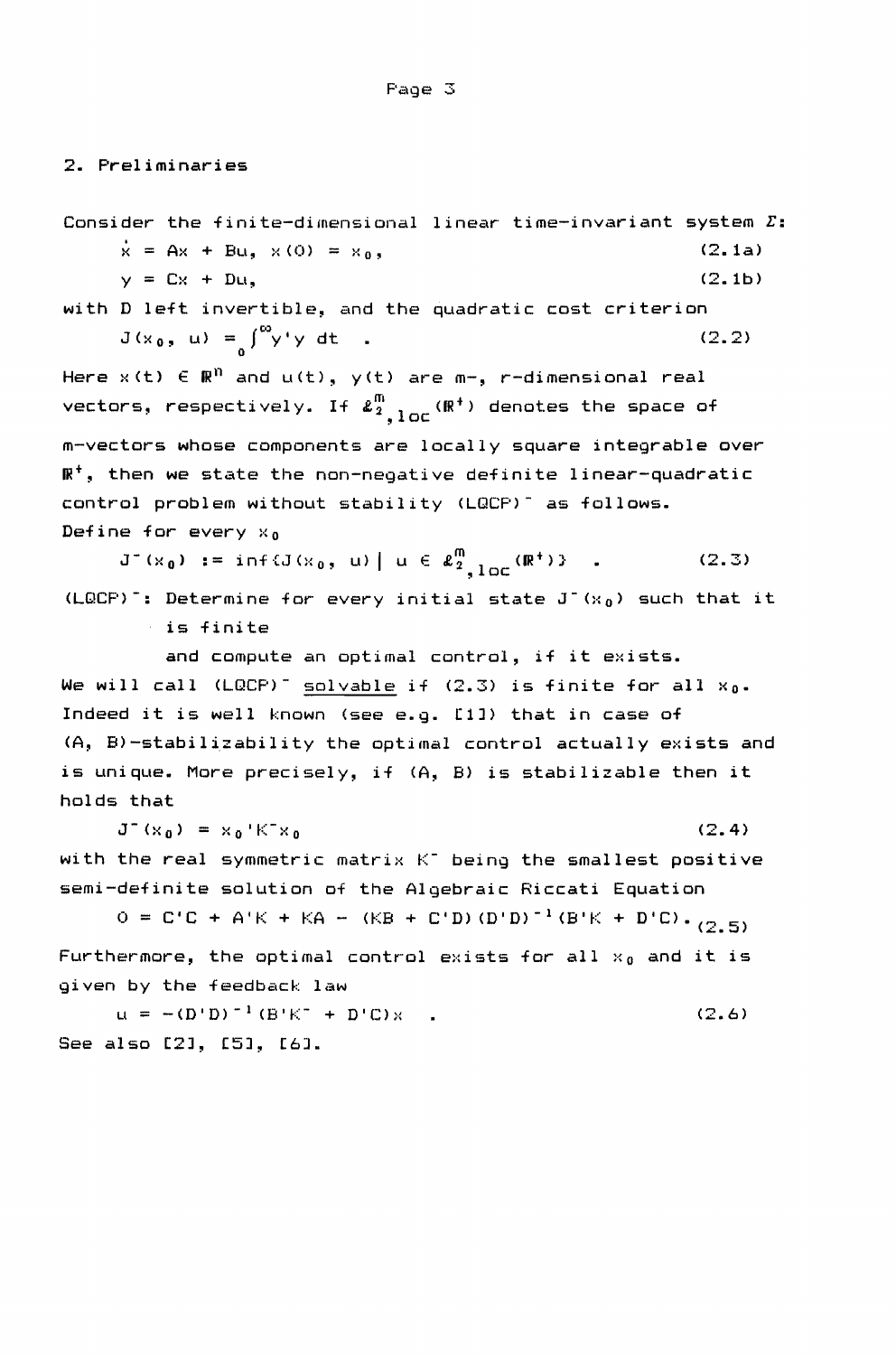2. Preliminaries

Consider the finite-dimensional linear time-invariant system  $\Sigma$ :<br> $\dot{x} = Ax + Bu, x(0) = xa.$  (2.1a)  $\dot{x}$  = Ax + Bu,  $\times$  (0) =  $\times_0$ ,  $y = Cx + D u,$  (2.1b) with D left invertible, and the quadratic cost criterion  $J(x_0, u) = \int_0^{\infty} y' y' dx$ (2.2) Here  $x(t) \in \mathbb{R}^n$  and  $u(t)$ ,  $y(t)$  are  $m-$ , r-dimensional real vectors, respectively. If  $\boldsymbol{\ell}_{2}^\mathsf{m}$ ,  $_{1 \texttt{OC}}(\mathbb{R}^+)$  denotes the space of m-vectors whose components are locally square integrable over  $\mathbb{R}^+$ , then we state the non-negative definite linear-quadratic control problem without stability (LQCP)<sup>-</sup> as follows. Define for every  $x_0$  $J^-(x_0) := \inf{J(x_0, u) \mid u \in \ell_{2}^m \atop 0 \leq \ell_{2}^m \log(\mathbb{R}^+)}$  (2.3) (LQCP)<sup>-</sup>: Determine for every initial state J<sup>-</sup>( $x_0$ ) such that it is finite and compute an optimal control, if it exists. We will call  $(LQCP)^{-}$  solvable if  $(2.3)$  is finite for all  $x_0$ . Indeed it is well known (see e.g. [1]) that in case of (A, B)-stabilizability the optimal control actually exists and is unique. More precisely, if (A, B) is stabilizable then it holds that  $J^-(x_0) = x_0 K^* x_0$ (2.4) with the real symmetric matrix  $K^-$  being the smallest positive semi-definite solution of the Algebraic Riccati Equation  $O = C'C + A'K + KA - (KB + C'D) (D'D)^{-1} (B'K + D'C) \cdot (2.5)$ Furthermore, the optimal control exists for all  $x_0$  and it is given by the feedback law  $\mu = -(D^{\dagger}D)^{-1}(B^{\dagger}K^+ + D^{\dagger}C)x$  (2.6) See also [2], [5], [6].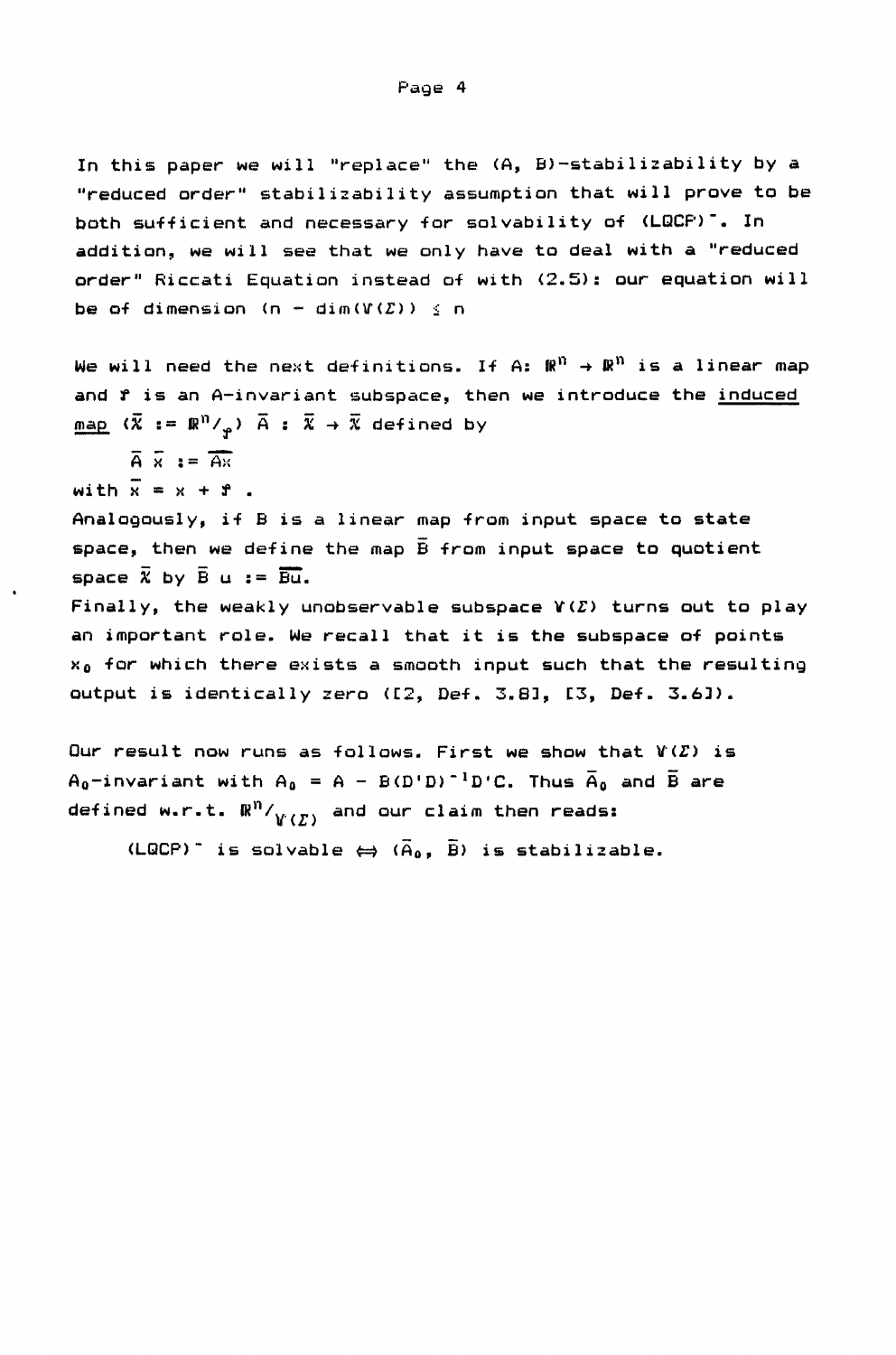In this paper we will "replace" the (A, B)-stabilizability by a "reduced order" stabilizability assumption that will prove to be both sufficient and necessary for solvability of (LQCP)<sup>-</sup>. In addition, we will see that we only have to deal with a "reduced order" Riccati Equation instead of with (2.5): our equation will be of dimension (n - dim $(Y(Z)) \le n$ 

We will need the next definitions. If A:  $\mathbb{R}^n \to \mathbb{R}^n$  is a linear map and f is an A-invariant subspace, then we introduce the induced  $\overline{\text{map}}$   $(\overline{X} := \mathbb{R}^n /_{\varphi})$   $\overline{A} : \overline{X} \to \overline{X}$  defined by  $\overline{A} \ \overline{x} \ \mathbf{i} = \overline{A} \overline{x}$ with  $\overline{x} = x + r$ . Analogously, if B is a linear map from input space to state space, then we define the map  $\bar{B}$  from input space to quotient space  $\overline{X}$  by  $\overline{B}$  u :=  $\overline{Bu}$ . Finally, the weakly unobservable subspace  $Y(\Sigma)$  turns out to play an important role. We recall that it is the subspace of points  $x_0$  for which there exists a smooth input such that the resulting

output is identically zero ([2, Def. 3.8l, [3, Def. 3.6]).

Our result now runs as follows. First we show that  $V(\Sigma)$  is A<sub>0</sub>-invariant with  $A_0 = A - B(D^T D)^{-1} D^T C$ . Thus  $\overline{A}_0$  and  $\overline{B}$  are defined w.r.t.  $\mathbb{R}^n/_{V(\mathcal{L})}$  and our claim then reads:

(LQCP)<sup>-</sup> is solvable  $\Leftrightarrow$  ( $\tilde{A}_0$ ,  $\tilde{B}$ ) is stabilizable.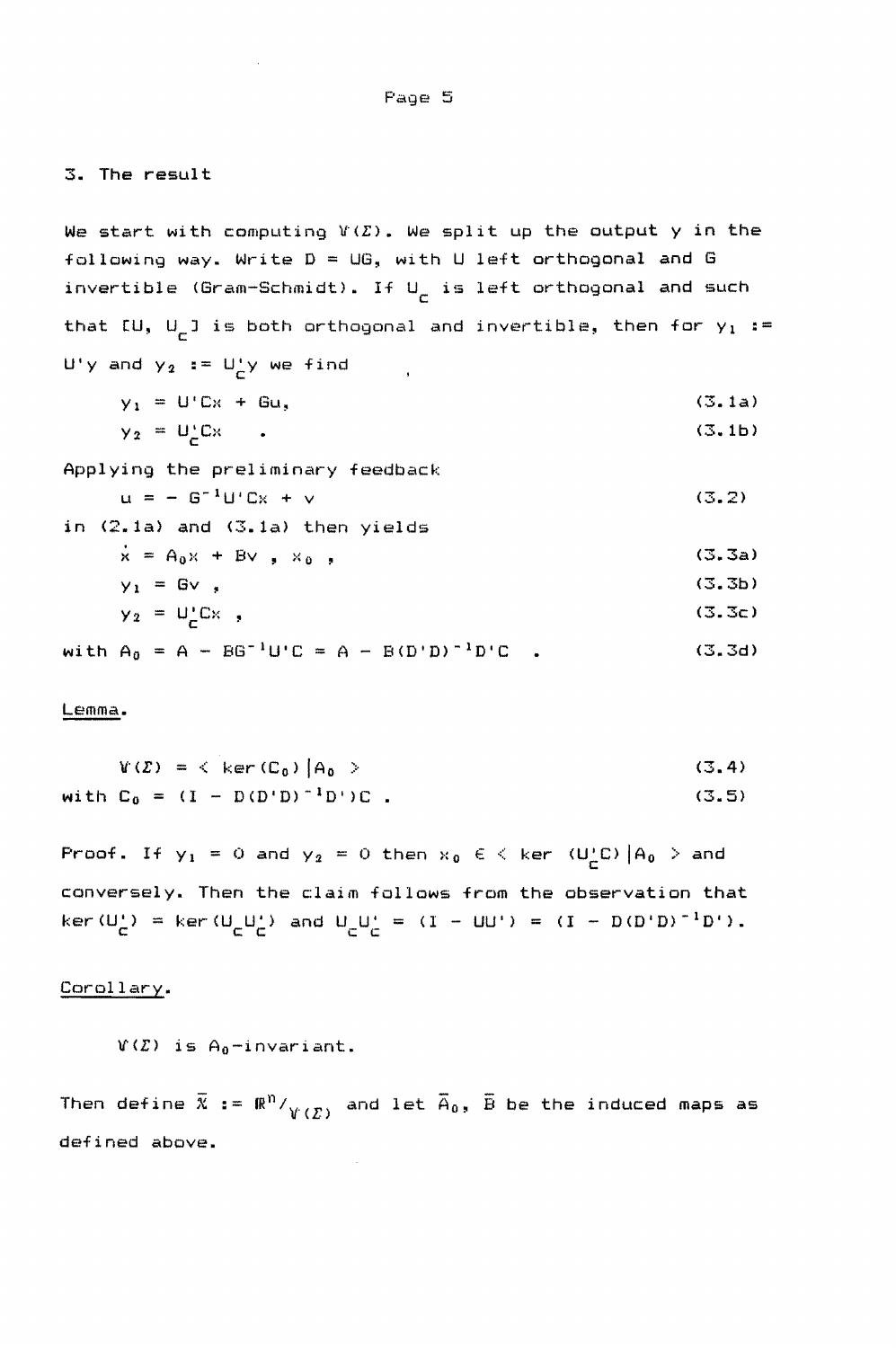#### 3. The result

We start with computing  $V(\Sigma)$ . We split up the output y in the following way. Write  $D = UG$ , with U left orthogonal and G invertible (Gram-Schmidt). If  $U^{\parallel}_{\mathsf{C}}$  is left orthogonal and such that [U, U<sub>C</sub>] is both orthogonal and invertible, then for y<sub>1</sub> := U'y and  $y_2 := U_C^{\dagger} y$  we find  $y_1 = U'$  Cx + Gu, (3.1a) (3.1b)  $y_2 = U_c^{\dagger}C_x$ Applying the preliminary feedback  $u = - 6^{-1}U'Cx + v$ (3.2) in (2.1a) and (3.1a) then yields  $\dot{x} = A_0x + Bv$ ,  $x_0$ , (3.3a)  $y_1 = Gv$ , (3.3b)  $y_2 = U^{\dagger}_C C x$ , (3.3c) with  $A_0 = A - BG^{-1}U'C = A - B(D'D)^{-1}D'C$ . (3.3d)

#### Lemma.

$$
V(Z) = \langle \ker(C_0) | A_0 \rangle
$$
  
with C<sub>0</sub> = (I - D(D'D)<sup>-1</sup>D')C. (3.5)

Proof. If  $y_1 = 0$  and  $y_2 = 0$  then  $x_0 \in \leftarrow$  ker  $(U'_C C) |A_0|$  > and conversely. Then the claim follows from the observation that  $\ker(U_C^+) = \ker(U_C^+)$  and  $U_C^+ = (I - UU^+) = (I - D(D^+D)^{-1}D^+)$ .

#### Corollary.

```
V(E) is A_0-invariant.
```
Then define  $\bar{x} := \Re^n / \frac{y(x)}{x(x)}$  and let  $\bar{A}_0$ ,  $\bar{B}$  be the induced maps as defined above.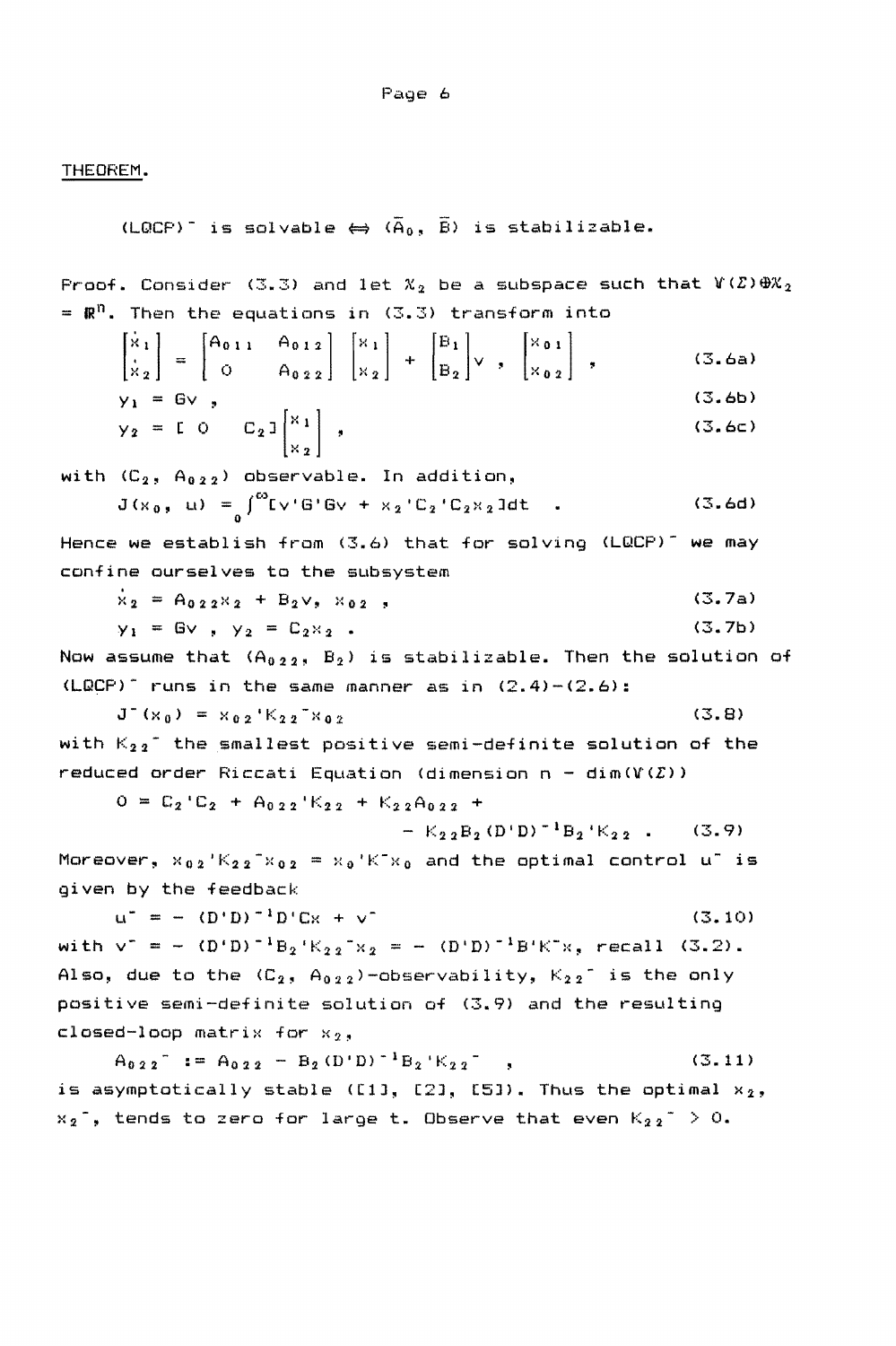Page 6

THEOREM.

(LQCP)<sup>-</sup> is solvable  $\Leftrightarrow$   $(\overline{A}_0, \overline{B})$  is stabilizable.

Proof. Consider (3.3) and let  $X_2$  be a subspace such that  $V(\mathcal{Z})\oplus X_2$ =  $\mathbb{R}^n$ . Then the equations in (3.3) transform into

$$
\begin{bmatrix} \dot{x}_1 \\ \dot{x}_2 \end{bmatrix} = \begin{bmatrix} A_{011} & A_{012} \\ 0 & A_{022} \end{bmatrix} \begin{bmatrix} x_1 \\ x_2 \end{bmatrix} + \begin{bmatrix} B_1 \\ B_2 \end{bmatrix} \vee , \begin{bmatrix} x_{01} \\ x_{02} \end{bmatrix} , \qquad (3.6a)
$$
\n
$$
y_1 = Gy \qquad (3.6b)
$$

$$
y_1 = Gv, \t\t (3.6b)
$$
  

$$
y_2 = [0 \t 0 \t C_2] \begin{bmatrix} x_1 \\ x_2 \end{bmatrix}, \t\t (3.6c)
$$

with  $(C_2, A_{0,2,2})$  observable. In addition,

$$
J(x_0, u) = \int_0^{\infty} [v'G'G' + x_2'C_2'C_2x_2] dt
$$
 (3.6d)

Hence we establish from  $(3.6)$  that for solving  $(LQCP)^{-1}$  we may confine ourselves to the subsystem .

$$
\dot{x}_2 = A_{022}x_2 + B_2v, x_{02},
$$
 (3.7a)

$$
y_1 = Gv
$$
,  $y_2 = C_2x_2$ . (3.7b)

Now assume that  $(A_{0,2,2}, B_2)$  is stabilizable. Then the solution of  $(LQCP)^{-1}$  runs in the same manner as in  $(2.4)-(2.6)$ :

$$
J^{-}(x_0) = x_{02} * K_{22} * x_{02}
$$
 (3.8)

with  $K_{2,2}$  the smallest positive semi-definite solution of the reduced order Riccati Equation (dimension  $n - dim(V(\mathcal{L}))$ 

$$
0 = C_2 C_2 + A_{0,2,2} C_2 + K_{2,2,2} A_{0,2,2} +
$$

$$
-K_{2,2}B_{2}(D'D)^{-1}B_{2}K_{2,2}.
$$
 (3.9)

Moreover,  $x_{0,2}$ 'K<sub>22</sub><sup>-</sup> $x_{0,2}$  =  $x_0$ 'K<sup>-</sup> $x_0$  and the optimal control u<sup>-</sup> is given by the feedback

 $u^{\dagger} = - (D^{\dagger}D)^{-1}D^{\dagger}Cx + v^{\dagger}$  (3.10) with  $v^+ = - (D^*D)^{-1}B_2(K_{2,2}^{-1}X_2 = - (D^*D)^{-1}B^*K^*X$ , recall (3.2). Also, due to the  $(C_2, A_{0,2,2})$ -observability,  $K_{2,2}$  is the only positive semi-definite solution of (3.9) and the resulting closed-loop matrix for  $x_2$ ,

 $A_{022}$  =  $A_{022}$  =  $B_2(D'D)^{-1}B_2K_{22}$  ,  $(3.11)$ is asymptotically stable ([1], [2], [5]). Thus the optimal  $x_2$ ,  $x_2^-$ , tends to zero for large t. Observe that even  $K_{2,2}^+ > 0$ .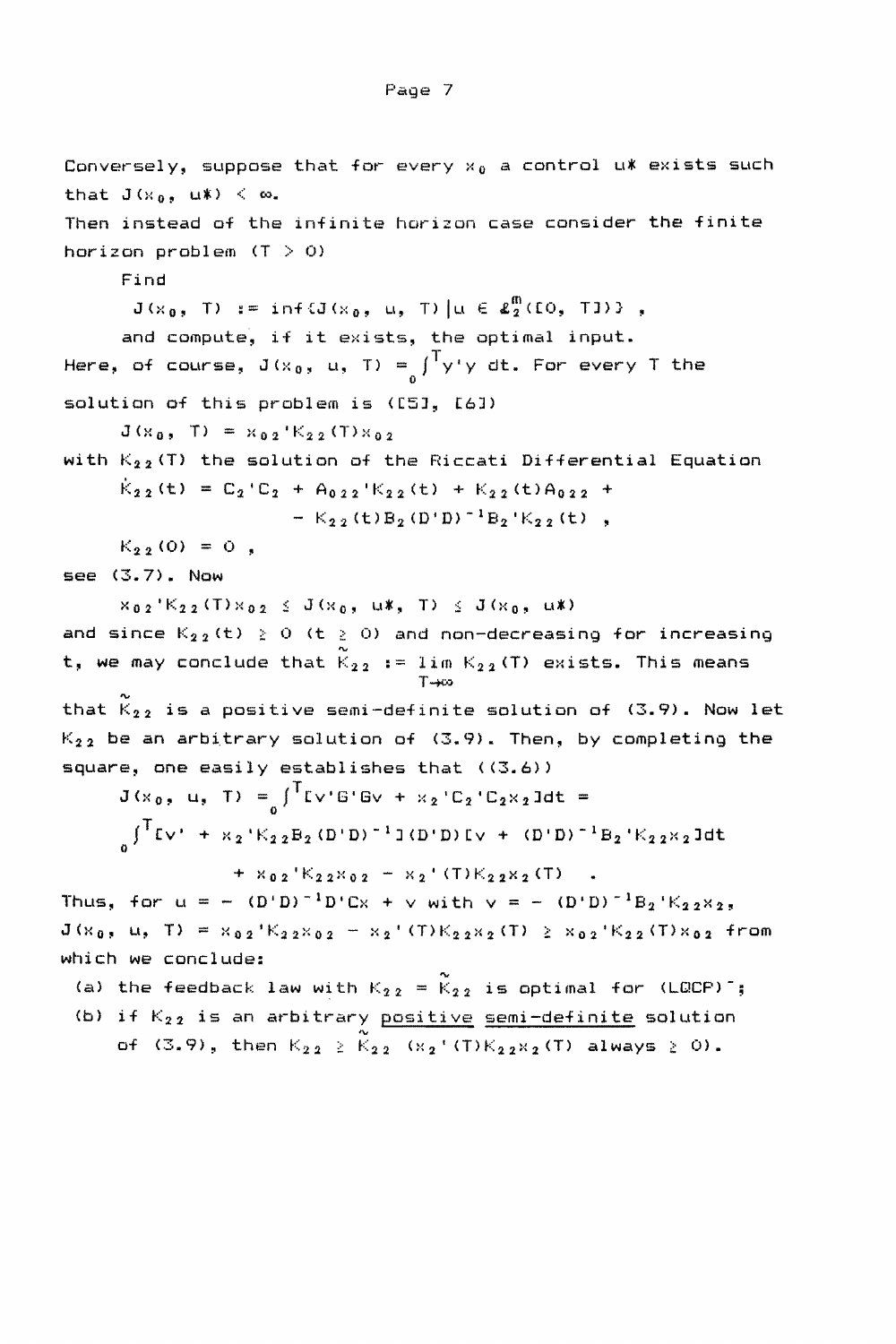```
Conversely, suppose that for every x_0 a control u* exists such
that J(x_0, u*) < \infty.
Then instead of the infinite horizon case consider the finite 
horizon problem (T > 0)Find 
        J(x_0, T) := \inf \{J(x_0, u, T) | u \in \pounds_2^m(\Omega, T) \},
       and compute, if it exists, the optimal input. 
Here, of course, J(x_0, u, T) = \int_0^T y' y' dt. For every T the
solution of this problem is ([5J, [6J) 
       J(x_0, T) = x_{02}'K_{22}(T)x_{02}with K_{2,2}(T) the solution of the Riccati Differential Equation
       \dot{K}_{2,2}(t) = C_2 C_2 + A_{0,2,2} K_{2,2}(t) + K_{2,2}(t)A_{0,2,2} +
                           - K_{22} (t) B_2 (D' D)^{-1} B_2 'K_{22} (t),
      K_{2,2}(0) = 0,
see (3.7). Now 
       x_{0,2}'K<sub>22</sub> (T)x_{0,2} \leq J(x_0, u^* - 1) \leq J(x_0, u^*)and since K_{2,2} (t) \geq 0 (t \geq 0) and non-decreasing for increasing
t, we may conclude that \tilde{K}_{2,2} := lim K_{2,2} (T) exists. This means
                                           T→∞
that \widetilde{K}_{2,2} is a positive semi-definite solution of (3.9). Now let
K_{2,2} be an arbitrary solution of (3.9). Then, by completing the
square, one easily establishes that ((3.6))
       J(x_0, u, T) = \int_0^T Lv'G'Gv + x_2'C_2'C_2x_2Jdt =\int<sup>T</sup>Ev' + x<sub>2</sub>'K<sub>22</sub>B<sub>2</sub>(D'D)<sup>-1</sup>J(D'D)Ev + (D'D)<sup>-1</sup>B<sub>2</sub>'K<sub>22</sub>x<sub>2</sub>Jdt
       ^{\circ}+ x_{02}'K_{22}x_{02} + x_2'(T)K_{22}x_2(T)
Thus, for u = - (D^T D)^{-1} D^T C x + \sqrt{w} with v = - (D^T D)^{-1} B_2^T K_{22}X_2,
J(x_0, u, T) = x_{02}^{-1}K_{22}x_{02} - x_2^{-1}(T)K_{22}x_2(T) \geq x_{02}^{-1}K_{22}(T)x_{02} from
which we conclude: 
 (a) the feedback law with K_{2,2} = \widetilde{K}_{2,2} is optimal for (LQCP)<sup>-</sup>;
 (b) if K_{22} is an arbitrary <u>positive semi-definite</u> solution
      of (3.9), then K_{2,2} \ge K_{2,2} (x<sub>2</sub>' (T)K_{2,2}x<sub>2</sub>(T) always \ge 0).
```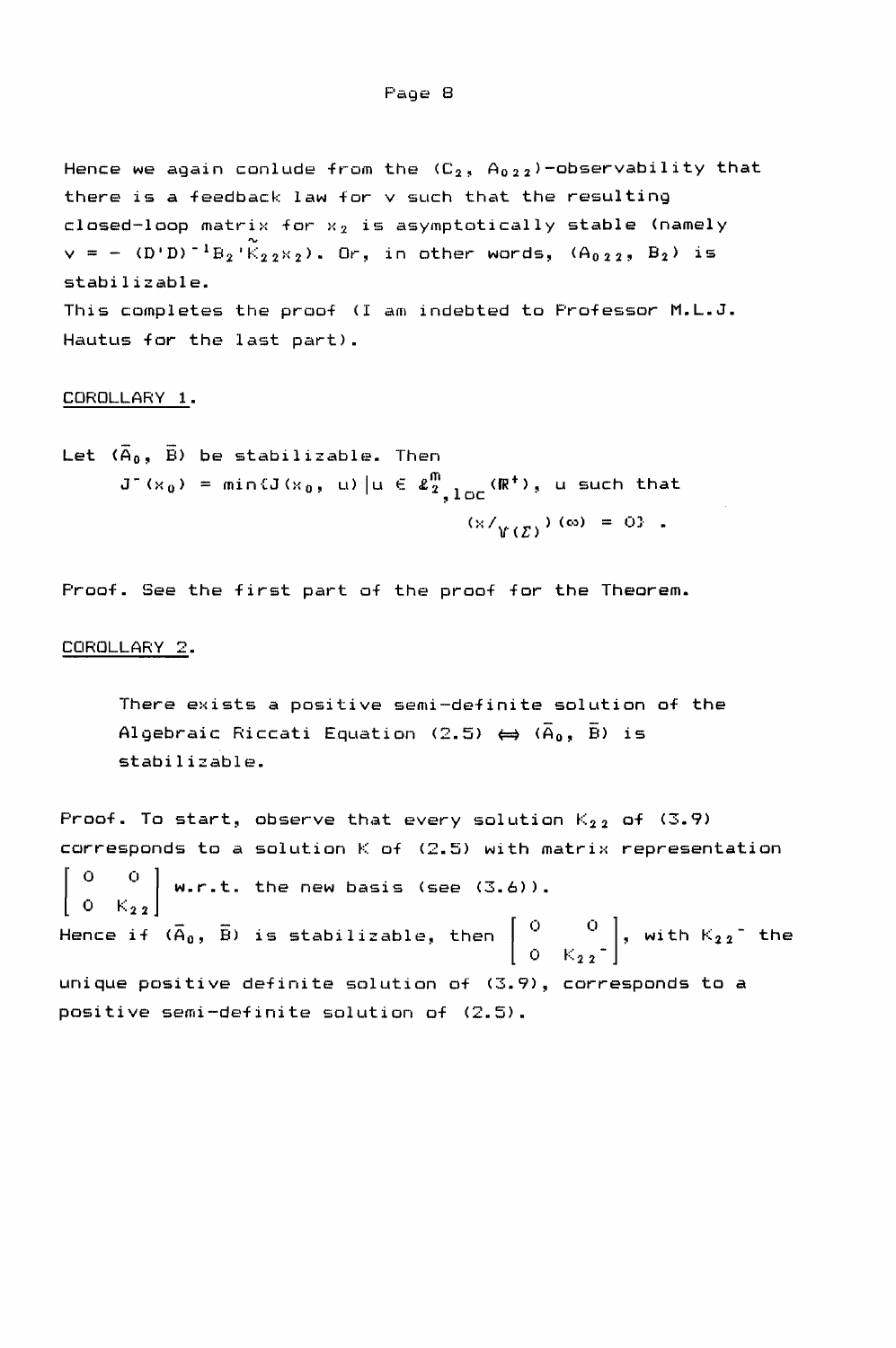Hence we again conlude from the  $(C_2, A_{0,2,2})$ -observability that there is a feedback law for v such that the resulting closed-loop matrix for  $x_2$  is asymptotically stable (namely  $v = - (D^T D)^{-1}B_2'(\widetilde{K}_{2,2} \times_2)$ . Or, in other words,  $(A_{0,2,2}, B_2)$  is stabilizable. This completes the proof (I am indebted to Professor M.L.J. Hautus for the last part).

#### COROLLARY 1.

Let  $(\overline{A}_0, \overline{B})$  be stabilizable. Then  $J^-(x_0)$  = min{ $J(x_0, u)$  u E  $\ell_{2}^{m}$  10c( $\mathbb{R}^+$ ), u such that  $(x / \gamma(\zeta)) (\infty) = 0$  .

Proof. See the first part of the proof for the Theorem.

#### COROLLARY 2.

There exists a positive semi-definite solution of the Algebraic Riccati Equation (2.5)  $\leftrightarrow$  ( $\overline{A}_0$ , B) is stabilizable.

Proof. To start, observe that every solution  $K_{2,2}$  of (3.9) corresponds to a solution  $K$  of  $(2.5)$  with matrix representation  $\mathsf{I}$ 0 o w.r.t. the new basis (see  $(3.6)$ ). Hence if ( $\vec{A}_0$ ,  $\vec{B}$ ) is stabilizable, then  $\left[ \begin{array}{cc} \text{O} & \text{O} \\ \text{O} & \text{K}_{2,2} \end{array} \right]$ , with  $\text{K}_{2,2}$  the unique positive definite solution of (3.9), corresponds to a positive semi-definite solution of (2.5).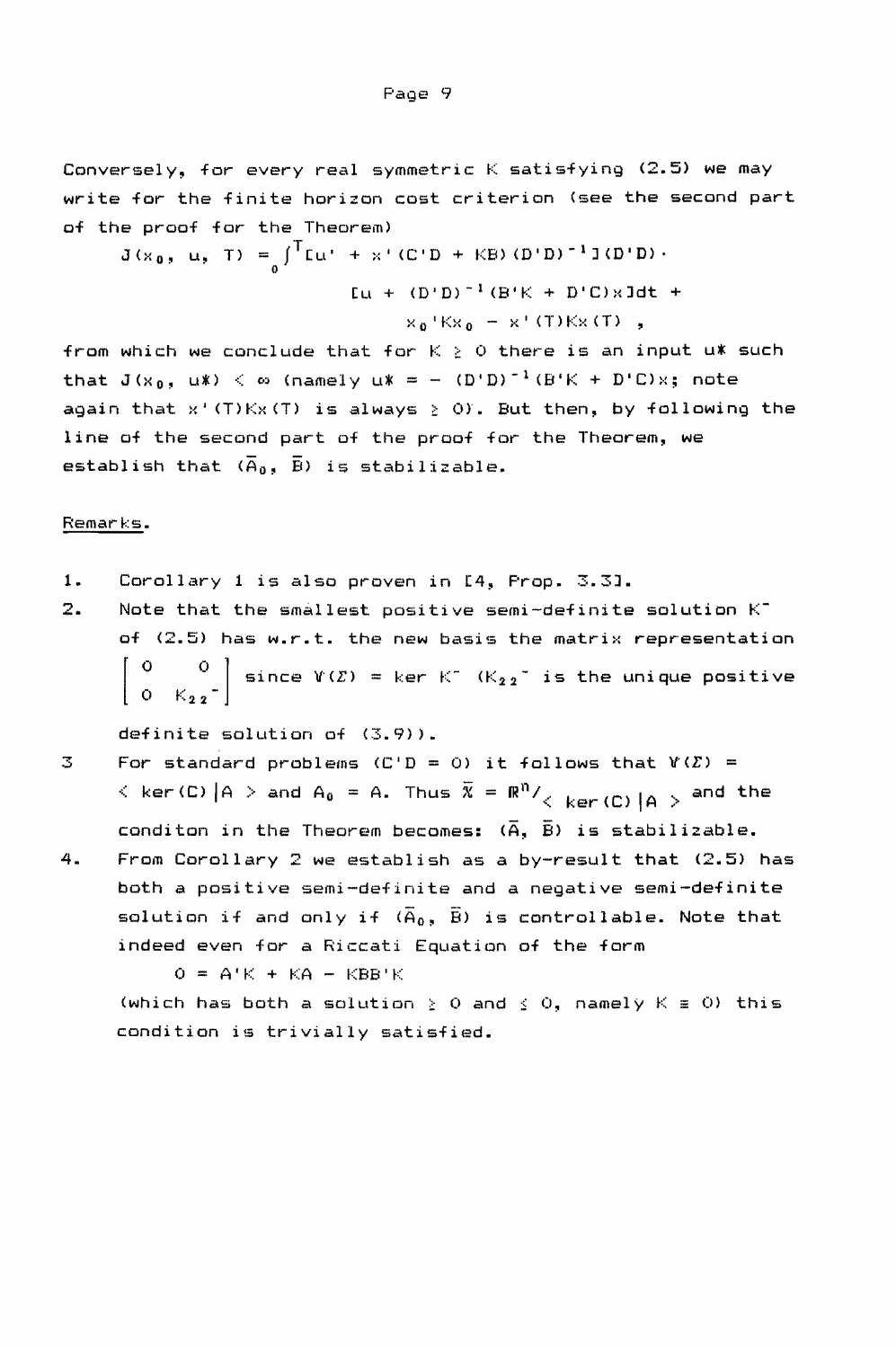Conversely, for every real symmetric K satisfying (2.5) we may write for the finite horizon cost criterion (see the second part of the proof for the Theorem)

 $J(x_0, u, T) = \int_0^T [u' + x'(C'D + KB)(D'D)^{-1} J(D'D)].$  $[u + (D'D)^{-1} (B'K + D'C) \times Jdt +$  $x_0$ <sup> $kx_0 - x'$  (T) Kx (T) ,</sup>

from which we conclude that for  $K \geq 0$  there is an input u\* such that  $J(x_0, u^*) < \infty$  (namely  $u^* = - (D^*D)^{-1}(B^*K + D^*C)x$ ; note again that  $x^+(T)Kx(T)$  is always  $\geq 0$ ). But then, by following the line of the second part of the proof for the Theorem, we establish that  $(\overline{A}_0, \overline{B})$  is stabilizable.

#### Remarks.

- **1.** Corollary 1 is also proven in [4, Prop. 3.3].
- 2. Note that the smallest positive semi-definite solution Kof (2.5) has w.r.t. the new basis the matrix representation  $\begin{bmatrix} 0 & 0 \\ 0 & K_{0.5} \end{bmatrix}$  since  $V(\mathcal{L}) = \ker K^-$  (K<sub>22</sub><sup>-</sup> is the unique positive  $O - K_{2,2}$

definite solution of (3.9».

- $3$  For standard problems  $(C/D = 0)$  it follows that  $Y(E) =$  $\langle$  ker(C)  $|A| >$  and  $A_0 = A$ . Thus  $\overline{X} = \mathbb{R}^n / \sqrt{R}$  ker(C)  $|A| >$  and the conditon in the Theorem becomes:  $(\overline{A}, \overline{B})$  is stabilizable.
- 4. From Corollary 2 we establish as a by-result that (2.5) has both a positive semi-definite and a negative semi-definite solution if and only if  $(\overline{A}_0, \overline{B})$  is controllable. Note that indeed even for a Riccati Equation of the form

 $Q = A'K + KA - KBB'K$ 

(which has both a solution  $\geq$  0 and  $\leq$  0, namely K  $\equiv$  0) this condition is trivially satisfied.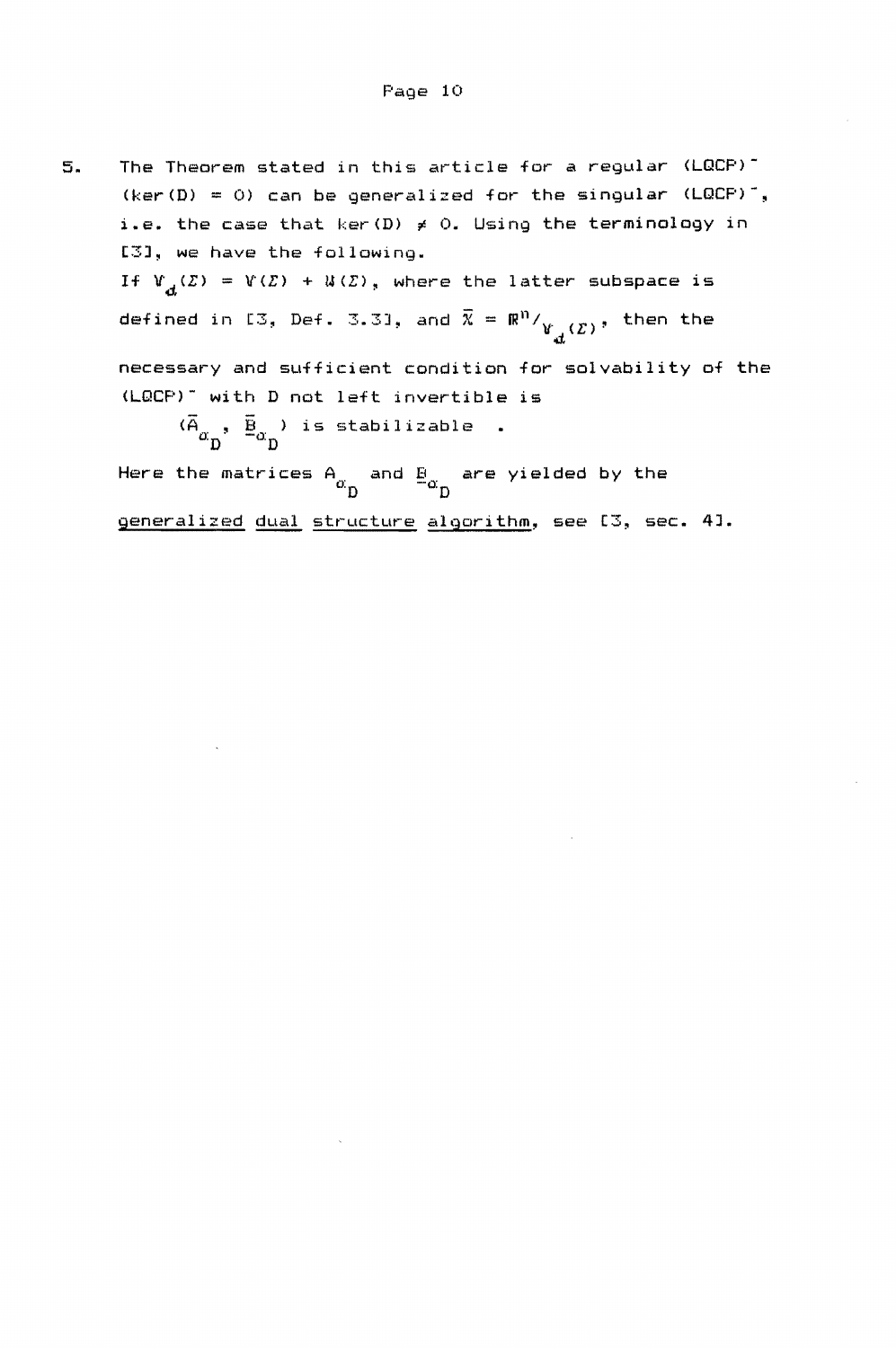5. The Theorem stated in this article for a regular (LQCP)- (ker(D) = 0) can be generalized for the singular (LQCP)<sup>-</sup>, i.e. the case that ker(D)  $\neq$  0. Using the terminology in C3J, we have the following. If  $V_{\mathcal{A}}(\Sigma) = V(\Sigma) + U(\Sigma)$ , where the latter subspace is defined in [3, Def. 3.3], and  $\overline{\chi}$  =  $\mathbb{R}^{\mathfrak{N}}/_{\mathfrak{U}^{\mathbb{N}}_{\mathbb{R}}(\mathcal{I})}$ , then the d necessary and sufficient condition for solvability of the (LQCP)- with 0 not left invertible is  $(\overline{A}_{\alpha_{n}}, \overline{B}_{\alpha_{n}})$  is stabilizable.

Here the matrices  $A_{\alpha_{\rm n}}$  and  $B_{\alpha_{\rm n}}$  are yielded by the

generalized dual structure algorithm, see [3, sec. 4].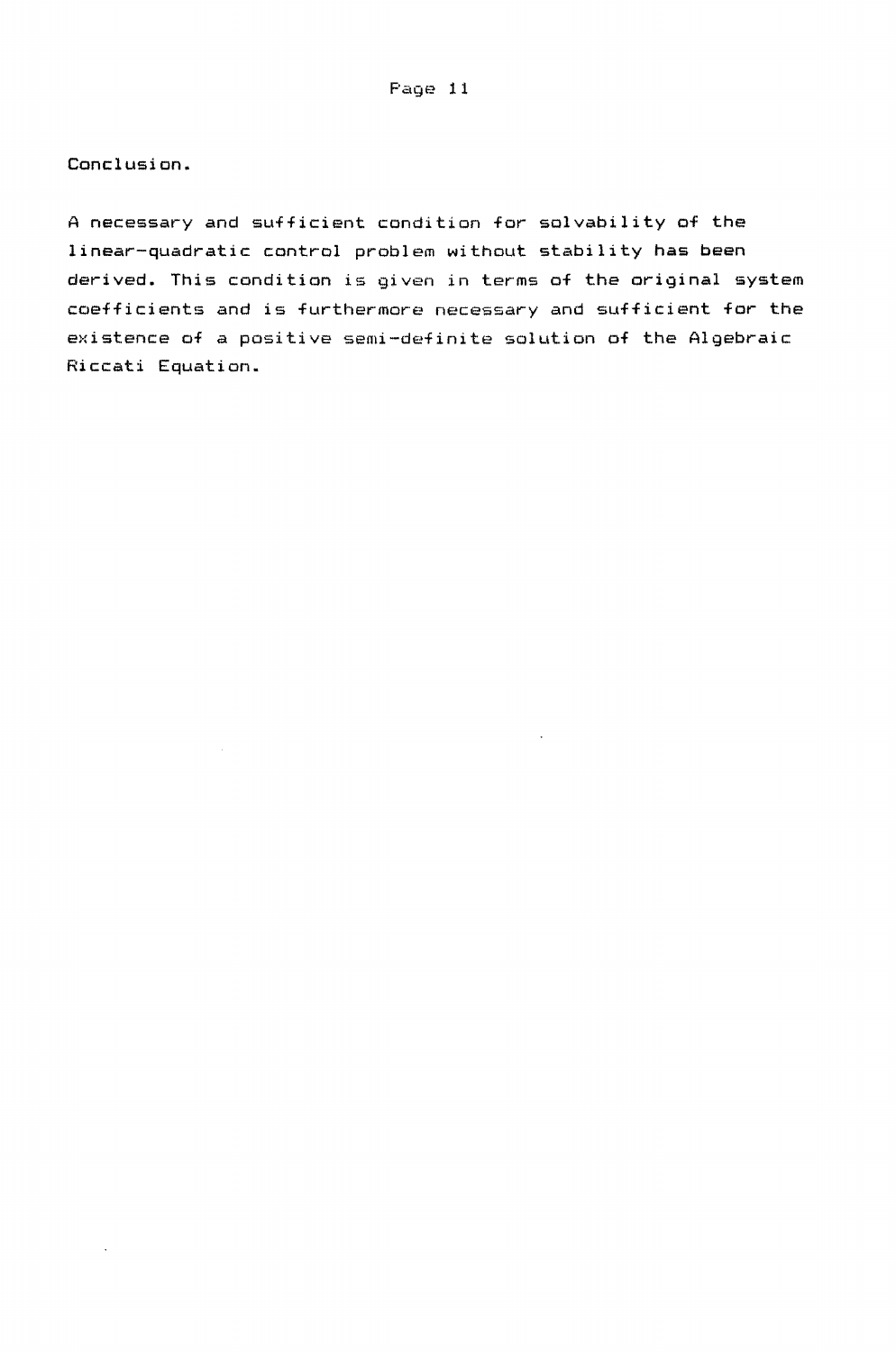Conclusion.

A necessary and sufficient condition for solvability of the linear-quadratic control problem without stability has been derived. This condition is given in terms of the original system coefficients and is furthermore necessary and sufficient for the existence of a positive semi-definite solution of the Algebraic Riccati Equation.